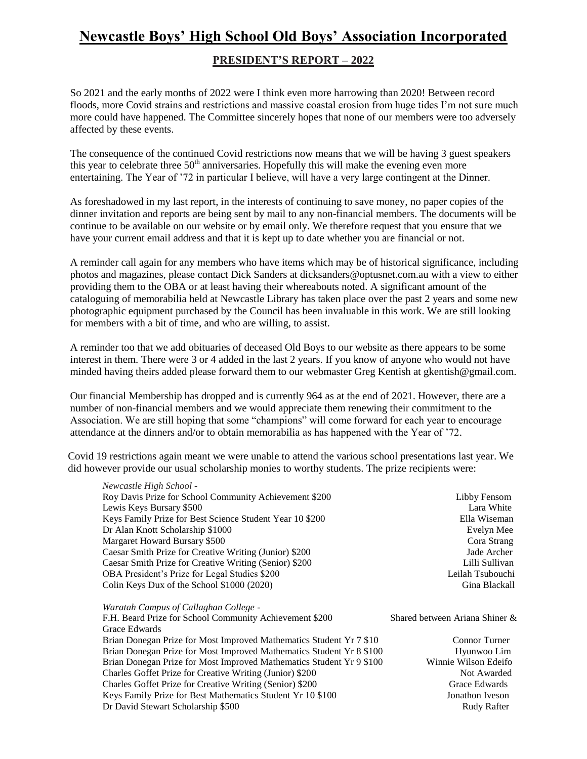## **Newcastle Boys' High School Old Boys' Association Incorporated**

## **PRESIDENT'S REPORT – 2022**

So 2021 and the early months of 2022 were I think even more harrowing than 2020! Between record floods, more Covid strains and restrictions and massive coastal erosion from huge tides I'm not sure much more could have happened. The Committee sincerely hopes that none of our members were too adversely affected by these events.

The consequence of the continued Covid restrictions now means that we will be having 3 guest speakers this year to celebrate three  $50<sup>th</sup>$  anniversaries. Hopefully this will make the evening even more entertaining. The Year of '72 in particular I believe, will have a very large contingent at the Dinner.

As foreshadowed in my last report, in the interests of continuing to save money, no paper copies of the dinner invitation and reports are being sent by mail to any non-financial members. The documents will be continue to be available on our website or by email only. We therefore request that you ensure that we have your current email address and that it is kept up to date whether you are financial or not.

A reminder call again for any members who have items which may be of historical significance, including photos and magazines, please contact Dick Sanders at dicksanders@optusnet.com.au with a view to either providing them to the OBA or at least having their whereabouts noted. A significant amount of the cataloguing of memorabilia held at Newcastle Library has taken place over the past 2 years and some new photographic equipment purchased by the Council has been invaluable in this work. We are still looking for members with a bit of time, and who are willing, to assist.

A reminder too that we add obituaries of deceased Old Boys to our website as there appears to be some interest in them. There were 3 or 4 added in the last 2 years. If you know of anyone who would not have minded having theirs added please forward them to our webmaster Greg Kentish at gkentish@gmail.com.

Our financial Membership has dropped and is currently 964 as at the end of 2021. However, there are a number of non-financial members and we would appreciate them renewing their commitment to the Association. We are still hoping that some "champions" will come forward for each year to encourage attendance at the dinners and/or to obtain memorabilia as has happened with the Year of '72.

Covid 19 restrictions again meant we were unable to attend the various school presentations last year. We did however provide our usual scholarship monies to worthy students. The prize recipients were:

| Newcastle High School -                                              |                                |
|----------------------------------------------------------------------|--------------------------------|
| Roy Davis Prize for School Community Achievement \$200               | Libby Fensom                   |
| Lewis Keys Bursary \$500                                             | Lara White                     |
| Keys Family Prize for Best Science Student Year 10 \$200             | Ella Wiseman                   |
| Dr Alan Knott Scholarship \$1000                                     | Evelyn Mee                     |
| Margaret Howard Bursary \$500                                        | Cora Strang                    |
| Caesar Smith Prize for Creative Writing (Junior) \$200               | Jade Archer                    |
| Caesar Smith Prize for Creative Writing (Senior) \$200               | Lilli Sullivan                 |
| OBA President's Prize for Legal Studies \$200                        | Leilah Tsubouchi               |
| Colin Keys Dux of the School \$1000 (2020)                           | Gina Blackall                  |
| Waratah Campus of Callaghan College -                                |                                |
| F.H. Beard Prize for School Community Achievement \$200              | Shared between Ariana Shiner & |
| Grace Edwards                                                        |                                |
| Brian Donegan Prize for Most Improved Mathematics Student Yr 7 \$10  | Connor Turner                  |
| Brian Donegan Prize for Most Improved Mathematics Student Yr 8 \$100 | Hyunwoo Lim                    |
| Brian Donegan Prize for Most Improved Mathematics Student Yr 9 \$100 | Winnie Wilson Edeifo           |
| Charles Goffet Prize for Creative Writing (Junior) \$200             | Not Awarded                    |
| Charles Goffet Prize for Creative Writing (Senior) \$200             | Grace Edwards                  |
| Keys Family Prize for Best Mathematics Student Yr 10 \$100           | Jonathon Iveson                |
| Dr David Stewart Scholarship \$500                                   | Rudy Rafter                    |